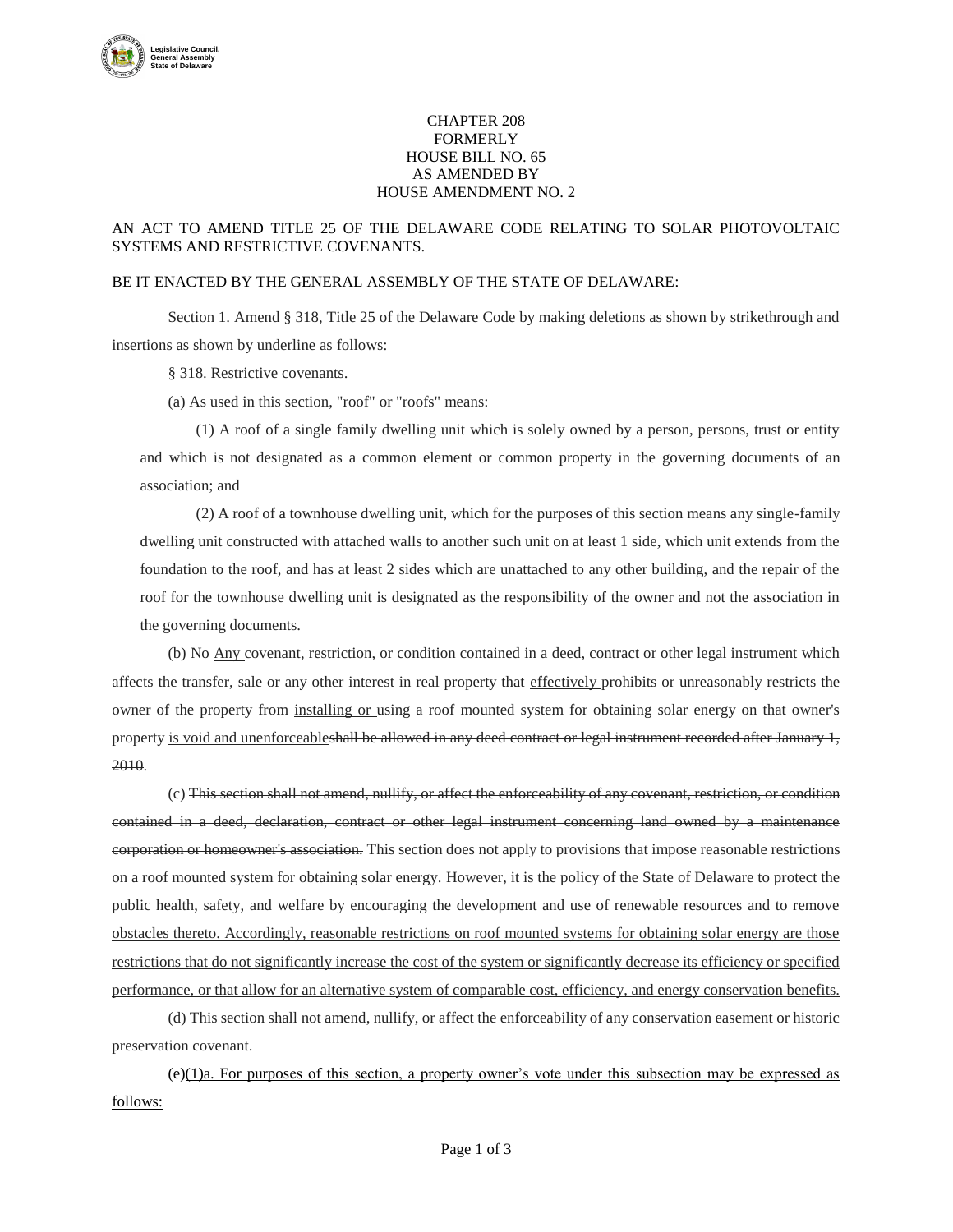

## CHAPTER 208 FORMERLY HOUSE BILL NO. 65 AS AMENDED BY HOUSE AMENDMENT NO. 2

## AN ACT TO AMEND TITLE 25 OF THE DELAWARE CODE RELATING TO SOLAR PHOTOVOLTAIC SYSTEMS AND RESTRICTIVE COVENANTS.

## BE IT ENACTED BY THE GENERAL ASSEMBLY OF THE STATE OF DELAWARE:

Section 1. Amend § 318, Title 25 of the Delaware Code by making deletions as shown by strikethrough and insertions as shown by underline as follows:

§ 318. Restrictive covenants.

(a) As used in this section, "roof" or "roofs" means:

(1) A roof of a single family dwelling unit which is solely owned by a person, persons, trust or entity and which is not designated as a common element or common property in the governing documents of an association; and

(2) A roof of a townhouse dwelling unit, which for the purposes of this section means any single-family dwelling unit constructed with attached walls to another such unit on at least 1 side, which unit extends from the foundation to the roof, and has at least 2 sides which are unattached to any other building, and the repair of the roof for the townhouse dwelling unit is designated as the responsibility of the owner and not the association in the governing documents.

(b) No Any covenant, restriction, or condition contained in a deed, contract or other legal instrument which affects the transfer, sale or any other interest in real property that effectively prohibits or unreasonably restricts the owner of the property from installing or using a roof mounted system for obtaining solar energy on that owner's property is void and unenforceableshall be allowed in any deed contract or legal instrument recorded after January 1, 2010.

(c) This section shall not amend, nullify, or affect the enforceability of any covenant, restriction, or condition contained in a deed, declaration, contract or other legal instrument concerning land owned by a maintenance corporation or homeowner's association. This section does not apply to provisions that impose reasonable restrictions on a roof mounted system for obtaining solar energy. However, it is the policy of the State of Delaware to protect the public health, safety, and welfare by encouraging the development and use of renewable resources and to remove obstacles thereto. Accordingly, reasonable restrictions on roof mounted systems for obtaining solar energy are those restrictions that do not significantly increase the cost of the system or significantly decrease its efficiency or specified performance, or that allow for an alternative system of comparable cost, efficiency, and energy conservation benefits.

(d) This section shall not amend, nullify, or affect the enforceability of any conservation easement or historic preservation covenant.

 $(e)(1)a$ . For purposes of this section, a property owner's vote under this subsection may be expressed as follows: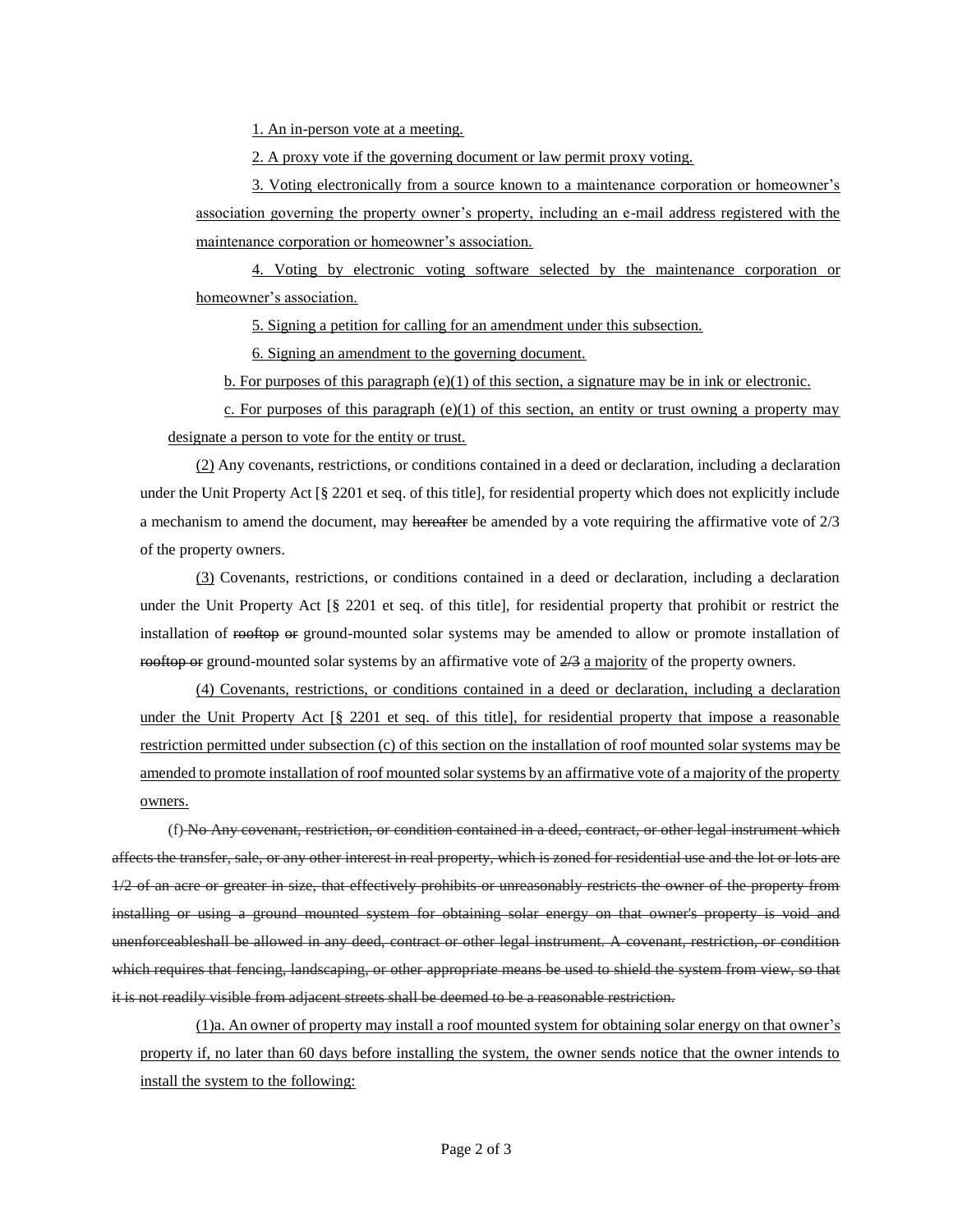1. An in-person vote at a meeting.

2. A proxy vote if the governing document or law permit proxy voting.

3. Voting electronically from a source known to a maintenance corporation or homeowner's association governing the property owner's property, including an e-mail address registered with the maintenance corporation or homeowner's association.

4. Voting by electronic voting software selected by the maintenance corporation or homeowner's association.

5. Signing a petition for calling for an amendment under this subsection.

6. Signing an amendment to the governing document.

b. For purposes of this paragraph  $(e)(1)$  of this section, a signature may be in ink or electronic.

c. For purposes of this paragraph (e)(1) of this section, an entity or trust owning a property may designate a person to vote for the entity or trust.

(2) Any covenants, restrictions, or conditions contained in a deed or declaration, including a declaration under the Unit Property Act [§ 2201 et seq. of this title], for residential property which does not explicitly include a mechanism to amend the document, may hereafter be amended by a vote requiring the affirmative vote of  $2/3$ of the property owners.

(3) Covenants, restrictions, or conditions contained in a deed or declaration, including a declaration under the Unit Property Act [§ 2201 et seq. of this title], for residential property that prohibit or restrict the installation of rooftop or ground-mounted solar systems may be amended to allow or promote installation of rooftop or ground-mounted solar systems by an affirmative vote of  $2/3$  a majority of the property owners.

(4) Covenants, restrictions, or conditions contained in a deed or declaration, including a declaration under the Unit Property Act [§ 2201 et seq. of this title], for residential property that impose a reasonable restriction permitted under subsection (c) of this section on the installation of roof mounted solar systems may be amended to promote installation of roof mounted solar systems by an affirmative vote of a majority of the property owners.

(f) No Any covenant, restriction, or condition contained in a deed, contract, or other legal instrument which affects the transfer, sale, or any other interest in real property, which is zoned for residential use and the lot or lots are 1/2 of an acre or greater in size, that effectively prohibits or unreasonably restricts the owner of the property from installing or using a ground mounted system for obtaining solar energy on that owner's property is void and unenforceableshall be allowed in any deed, contract or other legal instrument. A covenant, restriction, or condition which requires that fencing, landscaping, or other appropriate means be used to shield the system from view, so that it is not readily visible from adjacent streets shall be deemed to be a reasonable restriction.

(1)a. An owner of property may install a roof mounted system for obtaining solar energy on that owner's property if, no later than 60 days before installing the system, the owner sends notice that the owner intends to install the system to the following: